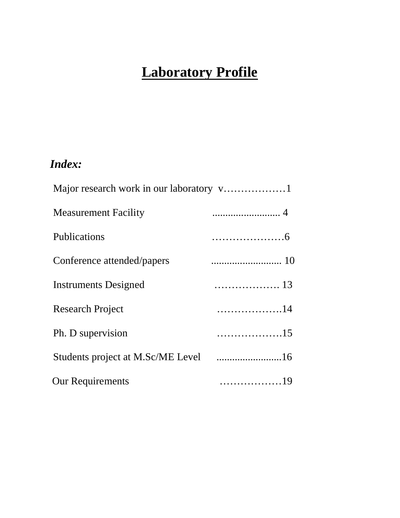# **Laboratory Profile**

# *Index:*

| <b>Measurement Facility</b>          |      |
|--------------------------------------|------|
| Publications                         |      |
| Conference attended/papers           |      |
| <b>Instruments Designed</b>          |      |
| <b>Research Project</b>              | 14   |
| Ph. D supervision                    | 15   |
| Students project at M.Sc/ME Level 16 |      |
| <b>Our Requirements</b>              | . 19 |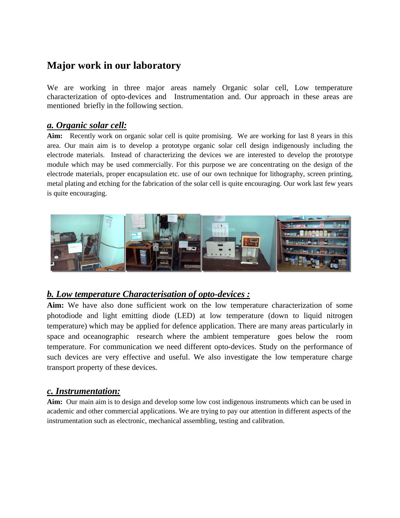# **Major work in our laboratory**

We are working in three major areas namely Organic solar cell, Low temperature characterization of opto-devices and Instrumentation and. Our approach in these areas are mentioned briefly in the following section.

### *a. Organic solar cell:*

**Aim:** Recently work on organic solar cell is quite promising. We are working for last 8 years in this area. Our main aim is to develop a prototype organic solar cell design indigenously including the electrode materials. Instead of characterizing the devices we are interested to develop the prototype module which may be used commercially. For this purpose we are concentrating on the design of the electrode materials, proper encapsulation etc. use of our own technique for lithography, screen printing, metal plating and etching for the fabrication of the solar cell is quite encouraging. Our work last few years is quite encouraging.



## *b. Low temperature Characterisation of opto-devices :*

**Aim:** We have also done sufficient work on the low temperature characterization of some photodiode and light emitting diode (LED) at low temperature (down to liquid nitrogen temperature) which may be applied for defence application. There are many areas particularly in space and oceanographic research where the ambient temperature goes below the room temperature. For communication we need different opto-devices. Study on the performance of such devices are very effective and useful. We also investigate the low temperature charge transport property of these devices.

## *c. Instrumentation:*

**Aim:** Our main aim is to design and develop some low cost indigenous instruments which can be used in academic and other commercial applications. We are trying to pay our attention in different aspects of the instrumentation such as electronic, mechanical assembling, testing and calibration.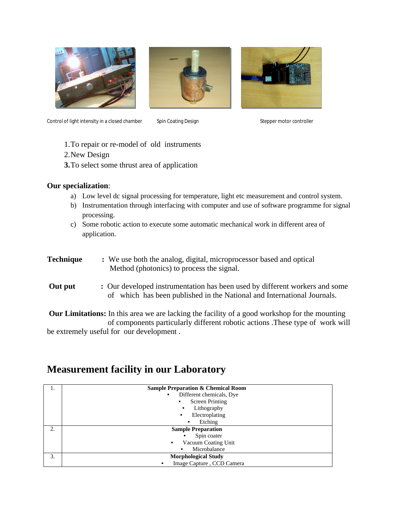





Control of light intensity in a closed chamber Spin Coating Design Stepper motor controller

- 1.To repair or re-model of old instruments
- 2.New Design
- **3.**To select some thrust area of application

#### **Our specialization**:

- a) Low level dc signal processing for temperature, light etc measurement and control system.
- b) Instrumentation through interfacing with computer and use of software programme for signal processing.
- c) Some robotic action to execute some automatic mechanical work in different area of application.
- **Technique :** We use both the analog, digital, microprocessor based and optical Method (photonics) to process the signal.
- **Out put :** Our developed instrumentation has been used by different workers and some of which has been published in the National and International Journals.

**Our Limitations:** In this area we are lacking the facility of a good workshop for the mounting of components particularly different robotic actions .These type of work will be extremely useful for our development .

# **Measurement facility in our Laboratory**

| 1. | <b>Sample Preparation &amp; Chemical Room</b> |
|----|-----------------------------------------------|
|    | Different chemicals, Dye<br>$\bullet$         |
|    | <b>Screen Printing</b><br>٠                   |
|    | Lithography<br>٠                              |
|    | Electroplating<br>$\bullet$                   |
|    | Etching<br>$\bullet$                          |
| 2. | <b>Sample Preparation</b>                     |
|    | Spin coater<br>$\bullet$                      |
|    | Vacuum Coating Unit<br>$\bullet$              |
|    | Microbalance<br>$\bullet$                     |
| 3. | <b>Morphological Study</b>                    |
|    | Image Capture, CCD Camera                     |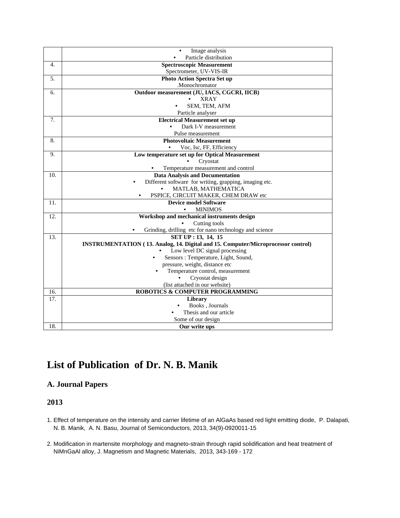|     | Image analysis                                                                                          |  |  |
|-----|---------------------------------------------------------------------------------------------------------|--|--|
|     | Particle distribution                                                                                   |  |  |
| 4.  | <b>Spectroscopic Measurement</b>                                                                        |  |  |
|     | Spectrometer, UV-VIS-IR                                                                                 |  |  |
| 5.  | <b>Photo Action Spectra Set up</b>                                                                      |  |  |
|     | .Monochromator                                                                                          |  |  |
| 6.  | Outdoor measurement (JU, IACS, CGCRI, IICB)                                                             |  |  |
|     | <b>XRAY</b>                                                                                             |  |  |
|     | SEM, TEM, AFM                                                                                           |  |  |
|     | Particle analyser                                                                                       |  |  |
| 7.  | <b>Electrical Measurement set up</b>                                                                    |  |  |
|     | Dark I-V measurement                                                                                    |  |  |
|     | Pulse measurement                                                                                       |  |  |
| 8.  | <b>Photovoltaic Measurement</b>                                                                         |  |  |
|     | Voc, Isc, FF, Efficiency                                                                                |  |  |
| 9.  | Low temperature set up for Optical Measurement                                                          |  |  |
|     | Cryostat                                                                                                |  |  |
|     | Temperature measurement and control                                                                     |  |  |
| 10. | <b>Data Analysis and Documentation</b>                                                                  |  |  |
|     | Different software for writing, grapping, imaging etc.                                                  |  |  |
|     | MATLAB, MATHEMATICA                                                                                     |  |  |
|     | PSPICE, CIRCUIT MAKER, CHEM DRAW etc                                                                    |  |  |
| 11. | <b>Device model Software</b>                                                                            |  |  |
|     | <b>MINIMOS</b><br>$\bullet$                                                                             |  |  |
| 12. | Workshop and mechanical instruments design                                                              |  |  |
|     | Cutting tools                                                                                           |  |  |
| 13. | Grinding, drilling etc for nano technology and science                                                  |  |  |
|     | SET UP: 13, 14, 15<br>INSTRUMENTATION (13. Analog, 14. Digital and 15. Computer/Microprocessor control) |  |  |
|     | Low level DC signal processing                                                                          |  |  |
|     | Sensors: Temperature, Light, Sound,<br>$\bullet$                                                        |  |  |
|     | pressure, weight, distance etc                                                                          |  |  |
|     | Temperature control, measurement                                                                        |  |  |
|     | Cryostat design                                                                                         |  |  |
|     | (list attached in our website)                                                                          |  |  |
| 16. | ROBOTICS & COMPUTER PROGRAMMING                                                                         |  |  |
| 17. | Library                                                                                                 |  |  |
|     | Books, Journals                                                                                         |  |  |
|     | Thesis and our article                                                                                  |  |  |
|     | Some of our design                                                                                      |  |  |
| 18. | Our write ups                                                                                           |  |  |

# **List of Publication of Dr. N. B. Manik**

#### **A. Journal Papers**

#### **2013**

- 1. Effect of temperature on the intensity and carrier lifetime of an AlGaAs based red light emitting diode, P. Dalapati, N. B. Manik, A. N. Basu, Journal of Semiconductors, 2013, 34(9)-0920011-15
- 2. Modification in martensite morphology and magneto-strain through rapid solidification and heat treatment of NiMnGaAl alloy, J. Magnetism and Magnetic Materials, 2013, 343-169 - 172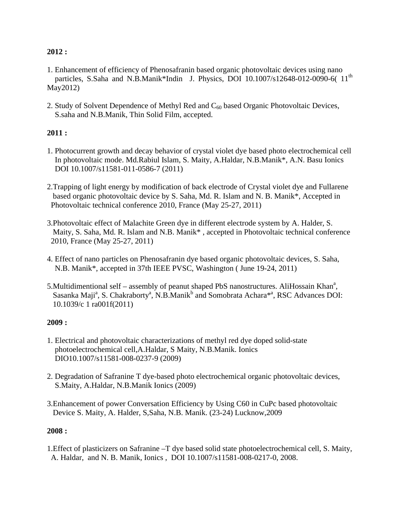#### **2012 :**

- 1. Enhancement of efficiency of Phenosafranin based organic photovoltaic devices using nano particles, S.Saha and N.B.Manik\*Indin J. Physics, DOI 10.1007/s12648-012-0090-6( 11<sup>th</sup> May2012)
- 2. Study of Solvent Dependence of Methyl Red and  $C_{60}$  based Organic Photovoltaic Devices, S.saha and N.B.Manik, Thin Solid Film, accepted.

### **2011 :**

- 1. Photocurrent growth and decay behavior of crystal violet dye based photo electrochemical cell In photovoltaic mode. Md.Rabiul Islam, S. Maity, A.Haldar, N.B.Manik\*, A.N. Basu Ionics DOI 10.1007/s11581-011-0586-7 (2011)
- 2.Trapping of light energy by modification of back electrode of Crystal violet dye and Fullarene based organic photovoltaic device by S. Saha, Md. R. Islam and N. B. Manik\*, Accepted in Photovoltaic technical conference 2010, France (May 25-27, 2011)
- 3.Photovoltaic effect of Malachite Green dye in different electrode system by A. Halder, S. Maity, S. Saha, Md. R. Islam and N.B. Manik\* , accepted in Photovoltaic technical conference 2010, France (May 25-27, 2011)
- 4. Effect of nano particles on Phenosafranin dye based organic photovoltaic devices, S. Saha, N.B. Manik\*, accepted in 37th IEEE PVSC, Washington ( June 19-24, 2011)
- 5. Multidimentional self assembly of peanut shaped PbS nanostructures. AliHossain Khan<sup>a</sup>, Sasanka Maji<sup>a</sup>, S. Chakraborty<sup>a</sup>, N.B.Manik<sup>b</sup> and Somobrata Achara<sup>\*a</sup>, RSC Advances DOI: 10.1039/c 1 ra001f(2011)

### **2009 :**

- 1. Electrical and photovoltaic characterizations of methyl red dye doped solid-state photoelectrochemical cell,A.Haldar, S Maity, N.B.Manik. Ionics DIO10.1007/s11581-008-0237-9 (2009)
- 2. Degradation of Safranine T dye-based photo electrochemical organic photovoltaic devices, S.Maity, A.Haldar, N.B.Manik Ionics (2009)
- 3.Enhancement of power Conversation Efficiency by Using C60 in CuPc based photovoltaic Device S. Maity, A. Halder, S,Saha, N.B. Manik. (23-24) Lucknow,2009

#### **2008 :**

1.Effect of plasticizers on Safranine –T dye based solid state photoelectrochemical cell, S. Maity, A. Haldar, and N. B. Manik, Ionics , DOI 10.1007/s11581-008-0217-0, 2008.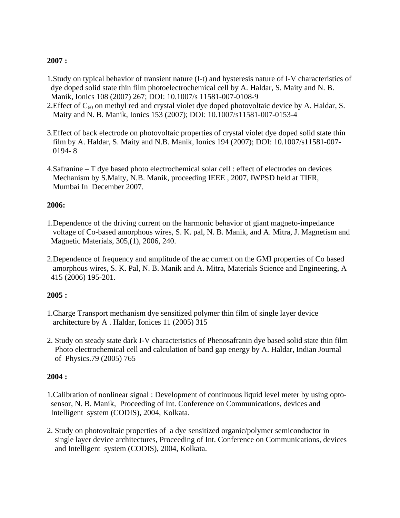#### **2007 :**

- 1.Study on typical behavior of transient nature (I-t) and hysteresis nature of I-V characteristics of dye doped solid state thin film photoelectrochemical cell by A. Haldar, S. Maity and N. B. Manik, Ionics 108 (2007) 267; DOI: 10.1007/s 11581-007-0108-9
- 2. Effect of  $C_{60}$  on methyl red and crystal violet dye doped photovoltaic device by A. Haldar, S. Maity and N. B. Manik, Ionics 153 (2007); DOI: 10.1007/s11581-007-0153-4
- 3.Effect of back electrode on photovoltaic properties of crystal violet dye doped solid state thin film by A. Haldar, S. Maity and N.B. Manik, Ionics 194 (2007); DOI: 10.1007/s11581-007- 0194- 8
- 4.Safranine T dye based photo electrochemical solar cell : effect of electrodes on devices Mechanism by S.Maity, N.B. Manik, proceeding IEEE , 2007, IWPSD held at TIFR, Mumbai In December 2007.

#### **2006:**

- 1.Dependence of the driving current on the harmonic behavior of giant magneto-impedance voltage of Co-based amorphous wires, S. K. pal, N. B. Manik, and A. Mitra, J. Magnetism and Magnetic Materials, 305,(1), 2006, 240.
- 2.Dependence of frequency and amplitude of the ac current on the GMI properties of Co based amorphous wires, S. K. Pal, N. B. Manik and A. Mitra, Materials Science and Engineering, A 415 (2006) 195-201.

#### **2005 :**

- 1.Charge Transport mechanism dye sensitized polymer thin film of single layer device architecture by A . Haldar, Ionices 11 (2005) 315
- 2. Study on steady state dark I-V characteristics of Phenosafranin dye based solid state thin film Photo electrochemical cell and calculation of band gap energy by A. Haldar, Indian Journal of Physics.79 (2005) 765

#### **2004 :**

- 1.Calibration of nonlinear signal : Development of continuous liquid level meter by using opto sensor, N. B. Manik, Proceeding of Int. Conference on Communications, devices and Intelligent system (CODIS), 2004, Kolkata.
- 2. Study on photovoltaic properties of a dye sensitized organic/polymer semiconductor in single layer device architectures, Proceeding of Int. Conference on Communications, devices and Intelligent system (CODIS), 2004, Kolkata.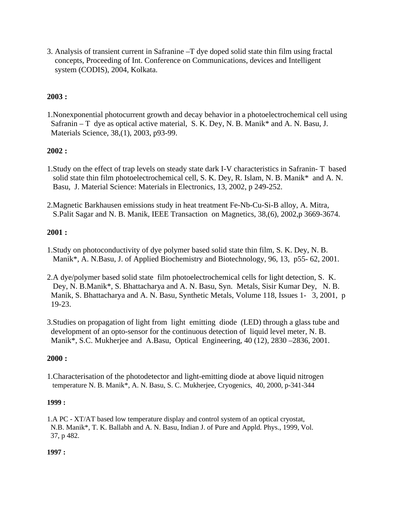3. Analysis of transient current in Safranine –T dye doped solid state thin film using fractal concepts, Proceeding of Int. Conference on Communications, devices and Intelligent system (CODIS), 2004, Kolkata.

#### **2003 :**

1.Nonexponential photocurrent growth and decay behavior in a photoelectrochemical cell using Safranin – T dye as optical active material, S. K. Dey, N. B. Manik\* and A. N. Basu, J. Materials Science, 38,(1), 2003, p93-99.

#### **2002 :**

- 1.Study on the effect of trap levels on steady state dark I-V characteristics in Safranin- T based solid state thin film photoelectrochemical cell, S. K. Dey, R. Islam, N. B. Manik\* and A. N. Basu, J. Material Science: Materials in Electronics, 13, 2002, p 249-252.
- 2.Magnetic Barkhausen emissions study in heat treatment Fe-Nb-Cu-Si-B alloy, A. Mitra, S.Palit Sagar and N. B. Manik, IEEE Transaction on Magnetics, 38,(6), 2002,p 3669-3674.

#### **2001 :**

- 1.Study on photoconductivity of dye polymer based solid state thin film, S. K. Dey, N. B. Manik\*, A. N.Basu, J. of Applied Biochemistry and Biotechnology, 96, 13, p55- 62, 2001.
- 2.A dye/polymer based solid state film photoelectrochemical cells for light detection, S. K. Dey, N. B.Manik\*, S. Bhattacharya and A. N. Basu, Syn. Metals, Sisir Kumar Dey, N. B. Manik, S. Bhattacharya and A. N. Basu, Synthetic Metals, Volume 118, Issues 1- 3, 2001, p 19-23.
- 3.Studies on propagation of light from light emitting diode (LED) through a glass tube and development of an opto-sensor for the continuous detection of liquid level meter, N. B. Manik\*, S.C. Mukherjee and A.Basu, Optical Engineering, 40 (12), 2830 –2836, 2001.

#### **2000 :**

1.Characterisation of the photodetector and light-emitting diode at above liquid nitrogen temperature N. B. Manik\*, A. N. Basu, S. C. Mukherjee, Cryogenics, 40, 2000, p-341-344

#### **1999 :**

1.A PC - XT/AT based low temperature display and control system of an optical cryostat, N.B. Manik\*, T. K. Ballabh and A. N. Basu, Indian J. of Pure and Appld. Phys., 1999, Vol. 37, p 482.

#### **1997 :**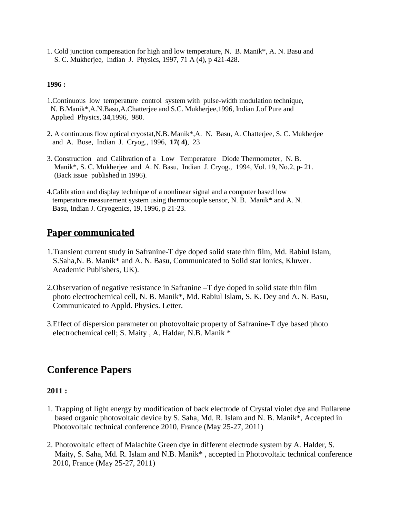1. Cold junction compensation for high and low temperature, N. B. Manik\*, A. N. Basu and S. C. Mukherjee, Indian J. Physics, 1997, 71 A (4), p 421-428.

#### **1996 :**

- 1.Continuous low temperature control system with pulse-width modulation technique, N. B.Manik\*,A.N.Basu,A.Chatterjee and S.C. Mukherjee,1996, Indian J.of Pure and Applied Physics, **34**,1996, 980.
- 2**.** A continuous flow optical cryostat,N.B. Manik\*,A. N. Basu, A. Chatterjee, S. C. Mukherjee and A. Bose, Indian J. Cryog., 1996, **17( 4)**, 23
- 3. Construction and Calibration of a Low Temperature Diode Thermometer, N. B. Manik\*, S. C. Mukherjee and A. N. Basu, Indian J. Cryog., 1994, Vol. 19, No.2, p- 21. (Back issue published in 1996).
- 4.Calibration and display technique of a nonlinear signal and a computer based low temperature measurement system using thermocouple sensor, N. B. Manik\* and A. N. Basu, Indian J. Cryogenics, 19, 1996, p 21-23.

### *Paper communicated*

- 1.Transient current study in Safranine-T dye doped solid state thin film, Md. Rabiul Islam, S.Saha,N. B. Manik\* and A. N. Basu, Communicated to Solid stat Ionics, Kluwer. Academic Publishers, UK).
- 2.Observation of negative resistance in Safranine –T dye doped in solid state thin film photo electrochemical cell, N. B. Manik\*, Md. Rabiul Islam, S. K. Dey and A. N. Basu, Communicated to Appld. Physics. Letter.
- 3.Effect of dispersion parameter on photovoltaic property of Safranine-T dye based photo electrochemical cell; S. Maity , A. Haldar, N.B. Manik \*

# **Conference Papers**

#### **2011 :**

- 1. Trapping of light energy by modification of back electrode of Crystal violet dye and Fullarene based organic photovoltaic device by S. Saha, Md. R. Islam and N. B. Manik\*, Accepted in Photovoltaic technical conference 2010, France (May 25-27, 2011)
- 2. Photovoltaic effect of Malachite Green dye in different electrode system by A. Halder, S. Maity, S. Saha, Md. R. Islam and N.B. Manik\* , accepted in Photovoltaic technical conference 2010, France (May 25-27, 2011)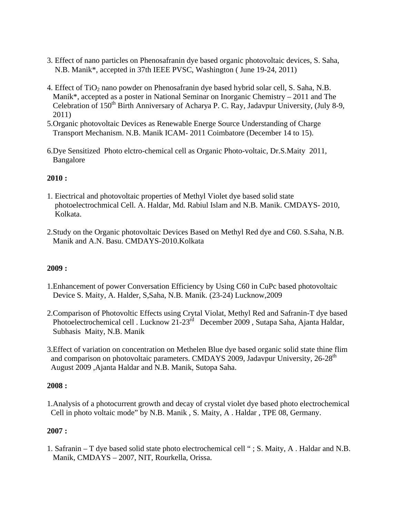- 3. Effect of nano particles on Phenosafranin dye based organic photovoltaic devices, S. Saha, N.B. Manik\*, accepted in 37th IEEE PVSC, Washington ( June 19-24, 2011)
- 4. Effect of TiO<sub>2</sub> nano powder on Phenosafranin dye based hybrid solar cell, S. Saha, N.B. Manik\*, accepted as a poster in National Seminar on Inorganic Chemistry – 2011 and The Celebration of  $150<sup>th</sup>$  Birth Anniversary of Acharya P. C. Ray, Jadavpur University, (July 8-9, 2011)
- 5.Organic photovoltaic Devices as Renewable Energe Source Understanding of Charge Transport Mechanism. N.B. Manik ICAM- 2011 Coimbatore (December 14 to 15).
- 6.Dye Sensitized Photo elctro-chemical cell as Organic Photo-voltaic, Dr.S.Maity 2011, Bangalore

#### **2010 :**

- 1. Eiectrical and photovoltaic properties of Methyl Violet dye based solid state photoelectrochmical Cell. A. Haldar, Md. Rabiul Islam and N.B. Manik. CMDAYS- 2010, Kolkata.
- 2.Study on the Organic photovoltaic Devices Based on Methyl Red dye and C60. S.Saha, N.B. Manik and A.N. Basu. CMDAYS-2010.Kolkata

#### **2009 :**

- 1.Enhancement of power Conversation Efficiency by Using C60 in CuPc based photovoltaic Device S. Maity, A. Halder, S,Saha, N.B. Manik. (23-24) Lucknow,2009
- 2.Comparison of Photovoltic Effects using Crytal Violat, Methyl Red and Safranin-T dye based Photoelectrochemical cell . Lucknow 21-23rd December 2009 , Sutapa Saha, Ajanta Haldar, Subhasis Maity, N.B. Manik
- 3.Effect of variation on concentration on Methelen Blue dye based organic solid state thine flim and comparison on photovoltaic parameters. CMDAYS 2009, Jadavpur University,  $26-28<sup>th</sup>$ August 2009 ,Ajanta Haldar and N.B. Manik, Sutopa Saha.

#### **2008 :**

1.Analysis of a photocurrent growth and decay of crystal violet dye based photo electrochemical Cell in photo voltaic mode" by N.B. Manik , S. Maity, A . Haldar , TPE 08, Germany.

#### **2007 :**

1. Safranin – T dye based solid state photo electrochemical cell " ; S. Maity, A . Haldar and N.B. Manik, CMDAYS – 2007, NIT, Rourkella, Orissa.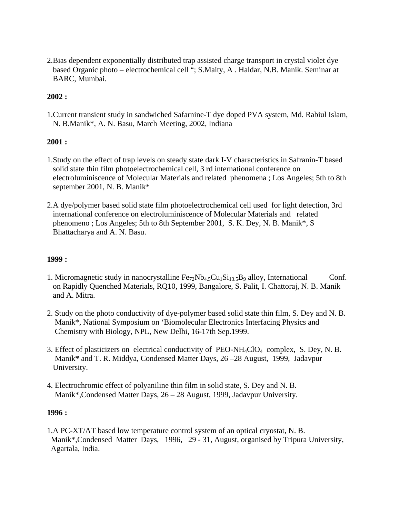2.Bias dependent exponentially distributed trap assisted charge transport in crystal violet dye based Organic photo – electrochemical cell "; S.Maity, A . Haldar, N.B. Manik. Seminar at BARC, Mumbai.

#### **2002 :**

1.Current transient study in sandwiched Safarnine-T dye doped PVA system, Md. Rabiul Islam, N. B.Manik\*, A. N. Basu, March Meeting, 2002, Indiana

#### **2001 :**

- 1.Study on the effect of trap levels on steady state dark I-V characteristics in Safranin-T based solid state thin film photoelectrochemical cell, 3 rd international conference on electroluminiscence of Molecular Materials and related phenomena ; Los Angeles; 5th to 8th september 2001, N. B. Manik\*
- 2.A dye/polymer based solid state film photoelectrochemical cell used for light detection, 3rd international conference on electroluminiscence of Molecular Materials and related phenomeno ; Los Angeles; 5th to 8th September 2001, S. K. Dey, N. B. Manik\*, S Bhattacharya and A. N. Basu.

#### **1999 :**

- 1. Micromagnetic study in nanocrystalline  $Fe_{72}Nb_{4.5}Cu_1Si_{13.5}B_9$  alloy, International Conf. on Rapidly Quenched Materials, RQ10, 1999, Bangalore, S. Palit, I. Chattoraj, N. B. Manik and A. Mitra.
- 2. Study on the photo conductivity of dye-polymer based solid state thin film, S. Dey and N. B. Manik\*, National Symposium on 'Biomolecular Electronics Interfacing Physics and Chemistry with Biology, NPL, New Delhi, 16-17th Sep.1999.
- 3. Effect of plasticizers on electrical conductivity of PEO-NH<sub>4</sub>ClO<sub>4</sub> complex, S. Dey, N. B. Manik**\*** and T. R. Middya, Condensed Matter Days, 26 –28 August, 1999, Jadavpur University.
- 4. Electrochromic effect of polyaniline thin film in solid state, S. Dey and N. B. Manik\*,Condensed Matter Days, 26 – 28 August, 1999, Jadavpur University.

#### **1996 :**

1.A PC-XT/AT based low temperature control system of an optical cryostat, N. B. Manik\*,Condensed Matter Days, 1996, 29 - 31, August, organised by Tripura University, Agartala, India.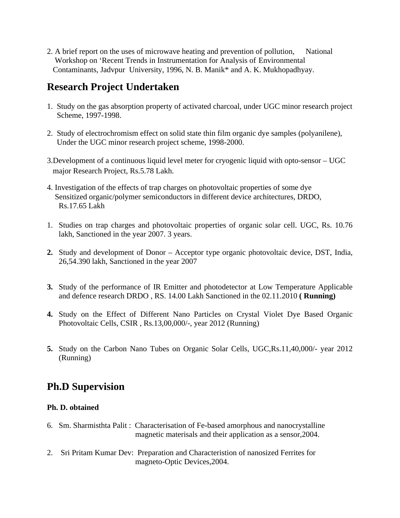2. A brief report on the uses of microwave heating and prevention of pollution, National Workshop on 'Recent Trends in Instrumentation for Analysis of Environmental Contaminants, Jadvpur University, 1996, N. B. Manik\* and A. K. Mukhopadhyay.

# **Research Project Undertaken**

- 1. Study on the gas absorption property of activated charcoal, under UGC minor research project Scheme, 1997-1998.
- 2. Study of electrochromism effect on solid state thin film organic dye samples (polyanilene), Under the UGC minor research project scheme, 1998-2000.
- 3.Development of a continuous liquid level meter for cryogenic liquid with opto-sensor UGC major Research Project, Rs.5.78 Lakh.
- 4. Investigation of the effects of trap charges on photovoltaic properties of some dye Sensitized organic/polymer semiconductors in different device architectures, DRDO, Rs.17.65 Lakh
- 1. Studies on trap charges and photovoltaic properties of organic solar cell. UGC, Rs. 10.76 lakh, Sanctioned in the year 2007. 3 years.
- **2.** Study and development of Donor Acceptor type organic photovoltaic device, DST, India, 26,54.390 lakh, Sanctioned in the year 2007
- **3.** Study of the performance of IR Emitter and photodetector at Low Temperature Applicable and defence research DRDO , RS. 14.00 Lakh Sanctioned in the 02.11.2010 **( Running)**
- **4.** Study on the Effect of Different Nano Particles on Crystal Violet Dye Based Organic Photovoltaic Cells, CSIR , Rs.13,00,000/-, year 2012 (Running)
- **5.** Study on the Carbon Nano Tubes on Organic Solar Cells, UGC,Rs.11,40,000/- year 2012 (Running)

# **Ph.D Supervision**

#### **Ph. D. obtained**

- 6. Sm. Sharmisthta Palit : Characterisation of Fe-based amorphous and nanocrystalline magnetic materisals and their application as a sensor,2004.
- 2. Sri Pritam Kumar Dev: Preparation and Characteristion of nanosized Ferrites for magneto-Optic Devices,2004.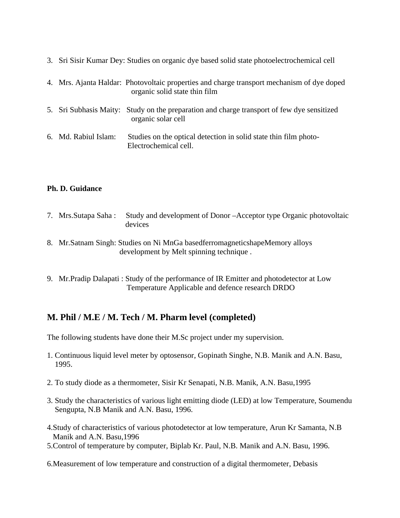|                      | 3. Sri Sisir Kumar Dey: Studies on organic dye based solid state photoelectrochemical cell                                  |
|----------------------|-----------------------------------------------------------------------------------------------------------------------------|
|                      | 4. Mrs. Ajanta Haldar: Photovoltaic properties and charge transport mechanism of dye doped<br>organic solid state thin film |
|                      | 5. Sri Subhasis Maity: Study on the preparation and charge transport of few dye sensitized<br>organic solar cell            |
| 6. Md. Rabiul Islam: | Studies on the optical detection in solid state thin film photo-<br>Electrochemical cell.                                   |

#### **Ph. D. Guidance**

- 7. Mrs.Sutapa Saha : Study and development of Donor –Acceptor type Organic photovoltaic devices
- 8. Mr.Satnam Singh: Studies on Ni MnGa basedferromagneticshapeMemory alloys development by Melt spinning technique .
- 9. Mr.Pradip Dalapati : Study of the performance of IR Emitter and photodetector at Low Temperature Applicable and defence research DRDO

### **M. Phil / M.E / M. Tech / M. Pharm level (completed)**

The following students have done their M.Sc project under my supervision.

- 1. Continuous liquid level meter by optosensor, Gopinath Singhe, N.B. Manik and A.N. Basu, 1995.
- 2. To study diode as a thermometer, Sisir Kr Senapati, N.B. Manik, A.N. Basu,1995
- 3. Study the characteristics of various light emitting diode (LED) at low Temperature, Soumendu Sengupta, N.B Manik and A.N. Basu, 1996.
- 4.Study of characteristics of various photodetector at low temperature, Arun Kr Samanta, N.B Manik and A.N. Basu,1996
- 5.Control of temperature by computer, Biplab Kr. Paul, N.B. Manik and A.N. Basu, 1996.
- 6.Measurement of low temperature and construction of a digital thermometer, Debasis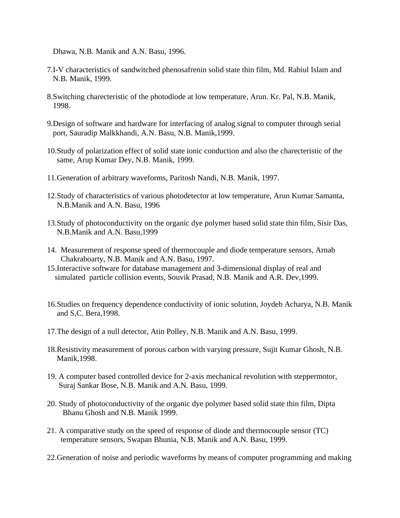Dhawa, N.B. Manik and A.N. Basu, 1996.

- 7.I-V characteristics of sandwitched phenosafrenin solid state thin film, Md. Rabiul Islam and N.B. Manik, 1999.
- 8.Switching charecteristic of the photodiode at low temperature, Arun. Kr. Pal, N.B. Manik, 1998.
- 9.Design of software and hardware for interfacing of analog signal to computer through serial port, Sauradip Malkkhandi, A.N. Basu, N.B. Manik,1999.
- 10.Study of polarization effect of solid state ionic conduction and also the charecteristic of the same, Arup Kumar Dey, N.B. Manik, 1999.
- 11.Generation of arbitrary waveforms, Paritosh Nandi, N.B. Manik, 1997.
- 12.Study of characteristics of various photodetector at low temperature, Arun Kumar Samanta, N.B.Manik and A.N. Basu, 1996
- 13.Study of photoconductivity on the organic dye polymer based solid state thin film, Sisir Das, N.B.Manik and A.N. Basu,1999
- 14. Measurement of response speed of thermocouple and diode temperature sensors, Arnab Chakraboarty, N.B. Manik and A.N. Basu, 1997.
- 15.Interactive software for database management and 3-dimensional display of real and simulated particle collision events, Souvik Prasad, N.B. Manik and A.R. Dev,1999.
- 16.Studies on frequency dependence conductivity of ionic solution, Joydeb Acharya, N.B. Manik and S,C. Bera,1998.
- 17.The design of a null detector, Atin Polley, N.B. Manik and A.N. Basu, 1999.
- 18.Resistivity measurement of porous carbon with varying pressure, Sujit Kumar Ghosh, N.B. Manik,1998.
- 19. A computer based controlled device for 2-axis mechanical revolution with steppermotor, Suraj Sankar Bose, N.B. Manik and A.N. Basu, 1999.
- 20. Study of photoconductivity of the organic dye polymer based solid state thin film, Dipta Bhanu Ghosh and N.B. Manik 1999.
- 21. A comparative study on the speed of response of diode and thermocouple sensor (TC) temperature sensors, Swapan Bhunia, N.B. Manik and A.N. Basu, 1999.
- 22.Generation of noise and periodic waveforms by means of computer programming and making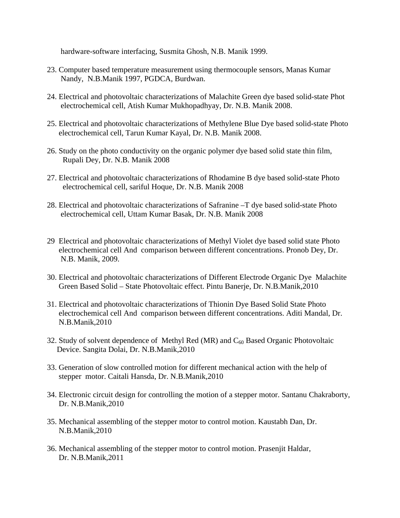hardware-software interfacing, Susmita Ghosh, N.B. Manik 1999.

- 23. Computer based temperature measurement using thermocouple sensors, Manas Kumar Nandy, N.B.Manik 1997, PGDCA, Burdwan.
- 24. Electrical and photovoltaic characterizations of Malachite Green dye based solid-state Phot electrochemical cell, Atish Kumar Mukhopadhyay, Dr. N.B. Manik 2008.
- 25. Electrical and photovoltaic characterizations of Methylene Blue Dye based solid-state Photo electrochemical cell, Tarun Kumar Kayal, Dr. N.B. Manik 2008.
- 26. Study on the photo conductivity on the organic polymer dye based solid state thin film, Rupali Dey, Dr. N.B. Manik 2008
- 27. Electrical and photovoltaic characterizations of Rhodamine B dye based solid-state Photo electrochemical cell, sariful Hoque, Dr. N.B. Manik 2008
- 28. Electrical and photovoltaic characterizations of Safranine –T dye based solid-state Photo electrochemical cell, Uttam Kumar Basak, Dr. N.B. Manik 2008
- 29 Electrical and photovoltaic characterizations of Methyl Violet dye based solid state Photo electrochemical cell And comparison between different concentrations. Pronob Dey, Dr. N.B. Manik, 2009.
- 30. Electrical and photovoltaic characterizations of Different Electrode Organic Dye Malachite Green Based Solid – State Photovoltaic effect. Pintu Banerje, Dr. N.B.Manik,2010
- 31. Electrical and photovoltaic characterizations of Thionin Dye Based Solid State Photo electrochemical cell And comparison between different concentrations. Aditi Mandal, Dr. N.B.Manik,2010
- 32. Study of solvent dependence of Methyl Red (MR) and  $C_{60}$  Based Organic Photovoltaic Device. Sangita Dolai, Dr. N.B.Manik,2010
- 33. Generation of slow controlled motion for different mechanical action with the help of stepper motor. Caitali Hansda, Dr. N.B.Manik,2010
- 34. Electronic circuit design for controlling the motion of a stepper motor. Santanu Chakraborty, Dr. N.B.Manik,2010
- 35. Mechanical assembling of the stepper motor to control motion. Kaustabh Dan, Dr. N.B.Manik,2010
- 36. Mechanical assembling of the stepper motor to control motion. Prasenjit Haldar, Dr. N.B.Manik,2011